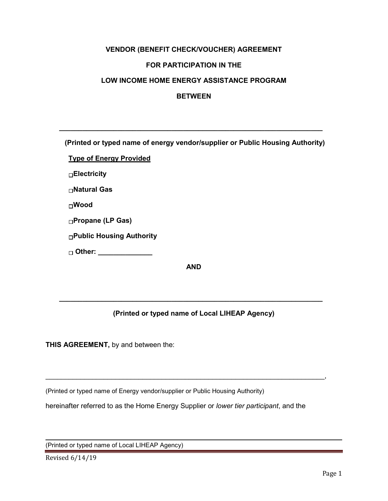# **VENDOR (BENEFIT CHECK/VOUCHER) AGREEMENT FOR PARTICIPATION IN THE LOW INCOME HOME ENERGY ASSISTANCE PROGRAM**

#### **BETWEEN**

**(Printed or typed name of energy vendor/supplier or Public Housing Authority)** 

 **\_\_\_\_\_\_\_\_\_\_\_\_\_\_\_\_\_\_\_\_\_\_\_\_\_\_\_\_\_\_\_\_\_\_\_\_\_\_\_\_\_\_\_\_\_\_\_\_\_\_\_\_\_\_\_\_\_\_\_\_\_\_\_\_\_\_\_\_**

**Type of Energy Provided** 

**Electricity** 

**Natural Gas**

**Wood** 

**Propane (LP Gas)**

**Public Housing Authority**

**Other: \_\_\_\_\_\_\_\_\_\_\_\_\_\_**

**AND**

### **(Printed or typed name of Local LIHEAP Agency)**

 **\_\_\_\_\_\_\_\_\_\_\_\_\_\_\_\_\_\_\_\_\_\_\_\_\_\_\_\_\_\_\_\_\_\_\_\_\_\_\_\_\_\_\_\_\_\_\_\_\_\_\_\_\_\_\_\_\_\_\_\_\_\_\_\_\_\_\_\_**

**THIS AGREEMENT,** by and between the:

(Printed or typed name of Energy vendor/supplier or Public Housing Authority)

hereinafter referred to as the Home Energy Supplier or *lower tier participant*, and the

\_\_\_\_\_\_\_\_\_\_\_\_\_\_\_\_\_\_\_\_\_\_\_\_\_\_\_\_\_\_\_\_\_\_\_\_\_\_\_\_\_\_\_\_\_\_\_\_\_\_\_\_\_\_\_\_\_\_\_\_\_\_\_\_\_\_\_\_\_\_\_\_,

(Printed or typed name of Local LIHEAP Agency)

Revised 6/14/19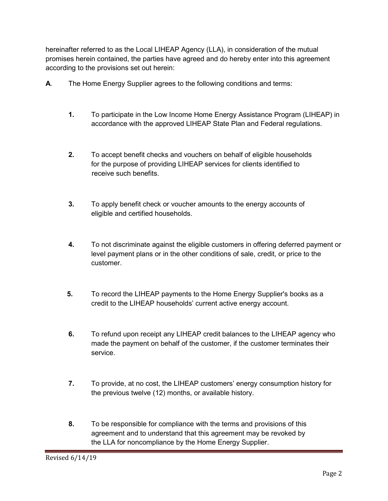hereinafter referred to as the Local LIHEAP Agency (LLA), in consideration of the mutual promises herein contained, the parties have agreed and do hereby enter into this agreement according to the provisions set out herein:

- **A**. The Home Energy Supplier agrees to the following conditions and terms:
	- **1.** To participate in the Low Income Home Energy Assistance Program (LIHEAP) in accordance with the approved LIHEAP State Plan and Federal regulations.
	- **2.** To accept benefit checks and vouchers on behalf of eligible households for the purpose of providing LIHEAP services for clients identified to receive such benefits.
	- **3.** To apply benefit check or voucher amounts to the energy accounts of eligible and certified households.
	- **4.** To not discriminate against the eligible customers in offering deferred payment or level payment plans or in the other conditions of sale, credit, or price to the customer.
	- **5.** To record the LIHEAP payments to the Home Energy Supplier's books as a credit to the LIHEAP households' current active energy account.
	- **6.** To refund upon receipt any LIHEAP credit balances to the LIHEAP agency who made the payment on behalf of the customer, if the customer terminates their service.
	- **7.** To provide, at no cost, the LIHEAP customers' energy consumption history for the previous twelve (12) months, or available history.
	- **8.** To be responsible for compliance with the terms and provisions of this agreement and to understand that this agreement may be revoked by the LLA for noncompliance by the Home Energy Supplier.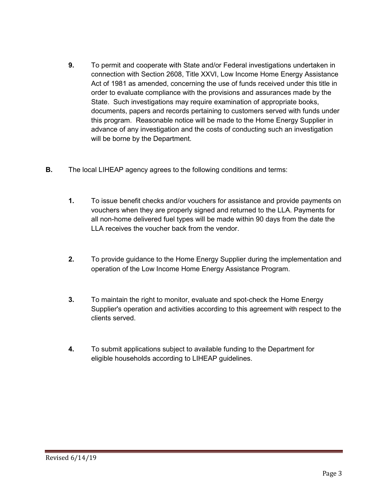- **9.** To permit and cooperate with State and/or Federal investigations undertaken in connection with Section 2608, Title XXVI, Low Income Home Energy Assistance Act of 1981 as amended, concerning the use of funds received under this title in order to evaluate compliance with the provisions and assurances made by the State. Such investigations may require examination of appropriate books, documents, papers and records pertaining to customers served with funds under this program. Reasonable notice will be made to the Home Energy Supplier in advance of any investigation and the costs of conducting such an investigation will be borne by the Department.
- **B.** The local LIHEAP agency agrees to the following conditions and terms:
	- **1.** To issue benefit checks and/or vouchers for assistance and provide payments on vouchers when they are properly signed and returned to the LLA. Payments for all non-home delivered fuel types will be made within 90 days from the date the LLA receives the voucher back from the vendor.
	- **2.** To provide guidance to the Home Energy Supplier during the implementation and operation of the Low Income Home Energy Assistance Program.
	- **3.** To maintain the right to monitor, evaluate and spot-check the Home Energy Supplier's operation and activities according to this agreement with respect to the clients served.
	- **4.** To submit applications subject to available funding to the Department for eligible households according to LIHEAP guidelines.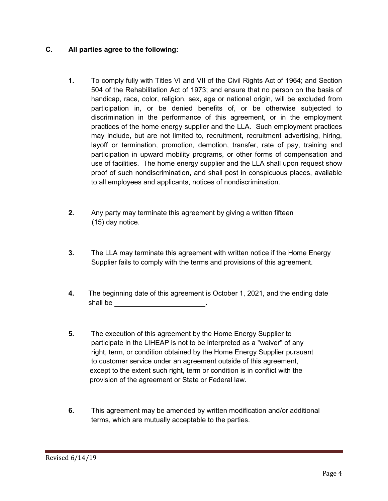## **C. All parties agree to the following:**

- **1.** To comply fully with Titles VI and VII of the Civil Rights Act of 1964; and Section 504 of the Rehabilitation Act of 1973; and ensure that no person on the basis of handicap, race, color, religion, sex, age or national origin, will be excluded from participation in, or be denied benefits of, or be otherwise subjected to discrimination in the performance of this agreement, or in the employment practices of the home energy supplier and the LLA. Such employment practices may include, but are not limited to, recruitment, recruitment advertising, hiring, layoff or termination, promotion, demotion, transfer, rate of pay, training and participation in upward mobility programs, or other forms of compensation and use of facilities. The home energy supplier and the LLA shall upon request show proof of such nondiscrimination, and shall post in conspicuous places, available to all employees and applicants, notices of nondiscrimination.
- **2.** Any party may terminate this agreement by giving a written fifteen (15) day notice.
- **3.** The LLA may terminate this agreement with written notice if the Home Energy Supplier fails to comply with the terms and provisions of this agreement.
- **4.** The beginning date of this agreement is October 1, 2021, and the ending date shall be .
- **5.** The execution of this agreement by the Home Energy Supplier to participate in the LIHEAP is not to be interpreted as a "waiver" of any right, term, or condition obtained by the Home Energy Supplier pursuant to customer service under an agreement outside of this agreement, except to the extent such right, term or condition is in conflict with the provision of the agreement or State or Federal law.
- **6.** This agreement may be amended by written modification and/or additional terms, which are mutually acceptable to the parties.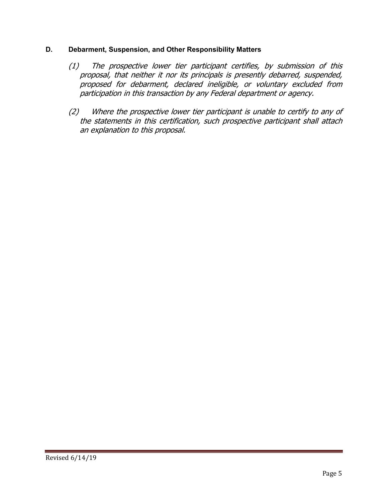### **D. Debarment, Suspension, and Other Responsibility Matters**

- (1) The prospective lower tier participant certifies, by submission of this proposal, that neither it nor its principals is presently debarred, suspended, proposed for debarment, declared ineligible, or voluntary excluded from participation in this transaction by any Federal department or agency.
- (2) Where the prospective lower tier participant is unable to certify to any of the statements in this certification, such prospective participant shall attach an explanation to this proposal.